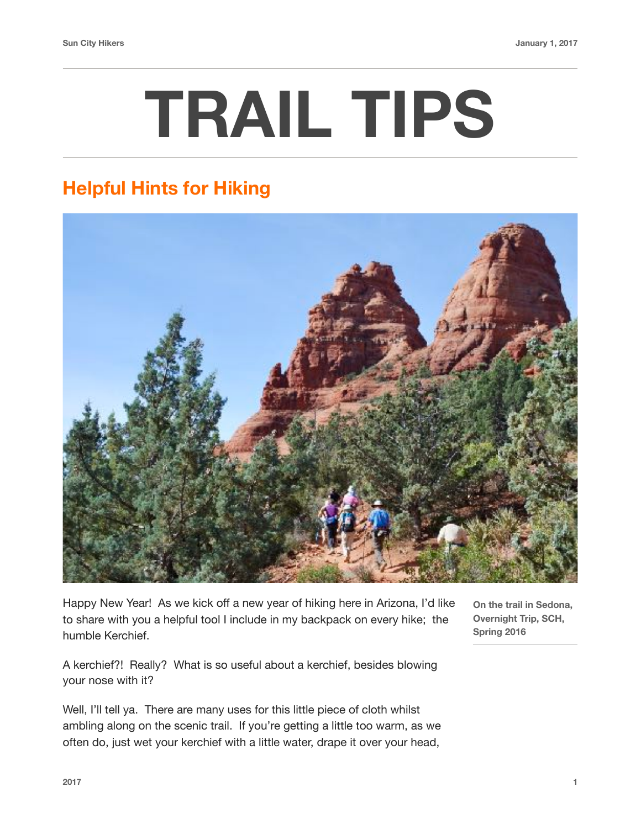## **TRAIL TIPS**

## **Helpful Hints for Hiking**



Happy New Year! As we kick off a new year of hiking here in Arizona, I'd like to share with you a helpful tool I include in my backpack on every hike; the humble Kerchief.

**On the trail in Sedona, Overnight Trip, SCH, Spring 2016**

A kerchief?! Really? What is so useful about a kerchief, besides blowing your nose with it?

Well, I'll tell ya. There are many uses for this little piece of cloth whilst ambling along on the scenic trail. If you're getting a little too warm, as we often do, just wet your kerchief with a little water, drape it over your head,